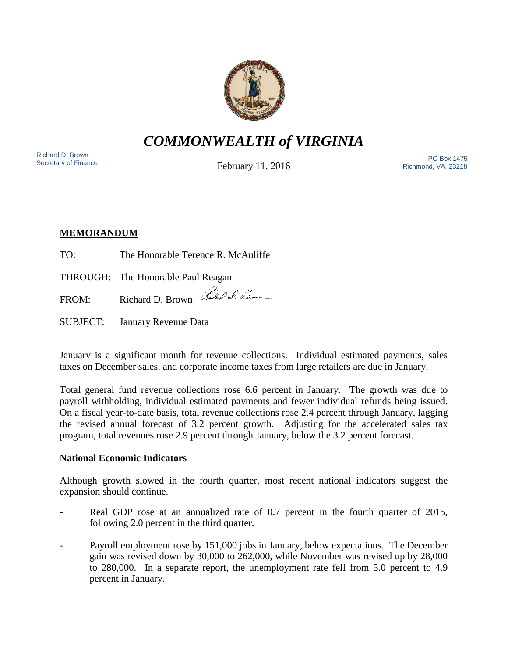

# *COMMONWEALTH of VIRGINIA*

Richard D. Brown<br>Secretary of Finance

February 11, 2016

Sichard D. Brown<br>Secretary of Finance **Representation Control Control Control** Control Control Control Control Control Control Con<br>Pichmond VA 23219 Richmond, VA. 23218

## **MEMORANDUM**

TO: The Honorable Terence R. McAuliffe

THROUGH: The Honorable Paul Reagan

FROM: Richard D. Brown Rubble D. Lum

SUBJECT: January Revenue Data

January is a significant month for revenue collections. Individual estimated payments, sales taxes on December sales, and corporate income taxes from large retailers are due in January.

Total general fund revenue collections rose 6.6 percent in January. The growth was due to payroll withholding, individual estimated payments and fewer individual refunds being issued. On a fiscal year-to-date basis, total revenue collections rose 2.4 percent through January, lagging the revised annual forecast of 3.2 percent growth. Adjusting for the accelerated sales tax program, total revenues rose 2.9 percent through January, below the 3.2 percent forecast.

## **National Economic Indicators**

Although growth slowed in the fourth quarter, most recent national indicators suggest the expansion should continue.

- Real GDP rose at an annualized rate of 0.7 percent in the fourth quarter of 2015, following 2.0 percent in the third quarter.
- Payroll employment rose by 151,000 jobs in January, below expectations. The December gain was revised down by 30,000 to 262,000, while November was revised up by 28,000 to 280,000. In a separate report, the unemployment rate fell from 5.0 percent to 4.9 percent in January.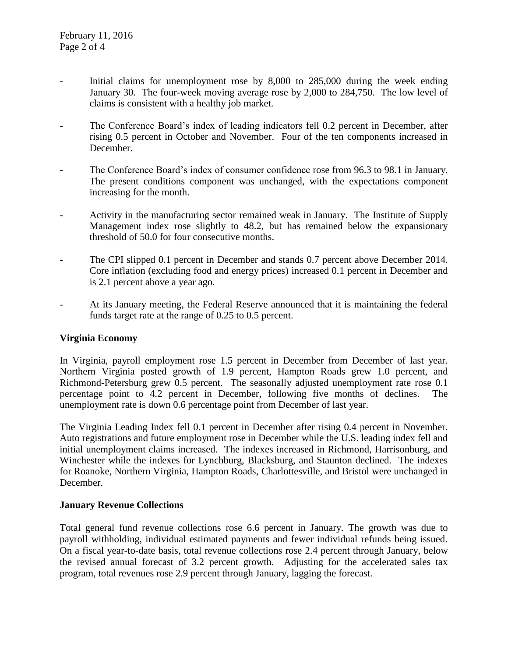- Initial claims for unemployment rose by 8,000 to 285,000 during the week ending January 30. The four-week moving average rose by 2,000 to 284,750. The low level of claims is consistent with a healthy job market.
- The Conference Board's index of leading indicators fell 0.2 percent in December, after rising 0.5 percent in October and November. Four of the ten components increased in December.
- The Conference Board's index of consumer confidence rose from 96.3 to 98.1 in January. The present conditions component was unchanged, with the expectations component increasing for the month.
- Activity in the manufacturing sector remained weak in January. The Institute of Supply Management index rose slightly to 48.2, but has remained below the expansionary threshold of 50.0 for four consecutive months.
- The CPI slipped 0.1 percent in December and stands 0.7 percent above December 2014. Core inflation (excluding food and energy prices) increased 0.1 percent in December and is 2.1 percent above a year ago.
- At its January meeting, the Federal Reserve announced that it is maintaining the federal funds target rate at the range of 0.25 to 0.5 percent.

## **Virginia Economy**

In Virginia, payroll employment rose 1.5 percent in December from December of last year. Northern Virginia posted growth of 1.9 percent, Hampton Roads grew 1.0 percent, and Richmond-Petersburg grew 0.5 percent. The seasonally adjusted unemployment rate rose 0.1 percentage point to 4.2 percent in December, following five months of declines. The unemployment rate is down 0.6 percentage point from December of last year.

The Virginia Leading Index fell 0.1 percent in December after rising 0.4 percent in November. Auto registrations and future employment rose in December while the U.S. leading index fell and initial unemployment claims increased. The indexes increased in Richmond, Harrisonburg, and Winchester while the indexes for Lynchburg, Blacksburg, and Staunton declined. The indexes for Roanoke, Northern Virginia, Hampton Roads, Charlottesville, and Bristol were unchanged in December.

### **January Revenue Collections**

Total general fund revenue collections rose 6.6 percent in January. The growth was due to payroll withholding, individual estimated payments and fewer individual refunds being issued. On a fiscal year-to-date basis, total revenue collections rose 2.4 percent through January, below the revised annual forecast of 3.2 percent growth. Adjusting for the accelerated sales tax program, total revenues rose 2.9 percent through January, lagging the forecast.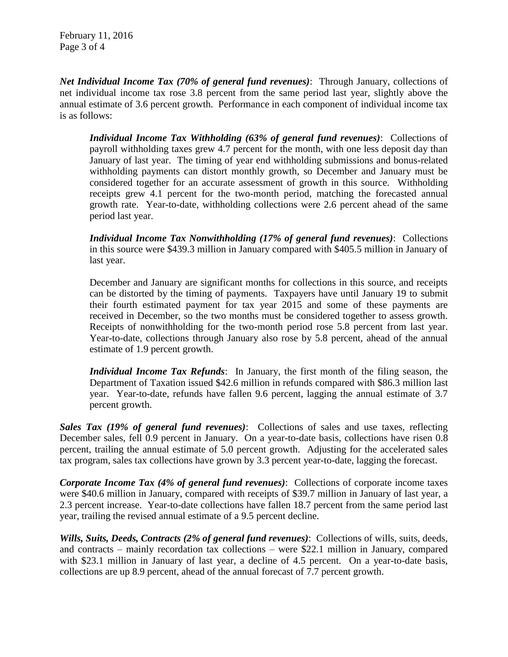February 11, 2016 Page 3 of 4

*Net Individual Income Tax (70% of general fund revenues)*: Through January, collections of net individual income tax rose 3.8 percent from the same period last year, slightly above the annual estimate of 3.6 percent growth. Performance in each component of individual income tax is as follows:

*Individual Income Tax Withholding (63% of general fund revenues)*: Collections of payroll withholding taxes grew 4.7 percent for the month, with one less deposit day than January of last year. The timing of year end withholding submissions and bonus-related withholding payments can distort monthly growth, so December and January must be considered together for an accurate assessment of growth in this source. Withholding receipts grew 4.1 percent for the two-month period, matching the forecasted annual growth rate. Year-to-date, withholding collections were 2.6 percent ahead of the same period last year.

*Individual Income Tax Nonwithholding (17% of general fund revenues)*: Collections in this source were \$439.3 million in January compared with \$405.5 million in January of last year.

December and January are significant months for collections in this source, and receipts can be distorted by the timing of payments. Taxpayers have until January 19 to submit their fourth estimated payment for tax year 2015 and some of these payments are received in December, so the two months must be considered together to assess growth. Receipts of nonwithholding for the two-month period rose 5.8 percent from last year. Year-to-date, collections through January also rose by 5.8 percent, ahead of the annual estimate of 1.9 percent growth.

*Individual Income Tax Refunds*: In January, the first month of the filing season, the Department of Taxation issued \$42.6 million in refunds compared with \$86.3 million last year. Year-to-date, refunds have fallen 9.6 percent, lagging the annual estimate of 3.7 percent growth.

*Sales Tax (19% of general fund revenues)*: Collections of sales and use taxes, reflecting December sales, fell 0.9 percent in January. On a year-to-date basis, collections have risen 0.8 percent, trailing the annual estimate of 5.0 percent growth. Adjusting for the accelerated sales tax program, sales tax collections have grown by 3.3 percent year-to-date, lagging the forecast.

*Corporate Income Tax (4% of general fund revenues)*: Collections of corporate income taxes were \$40.6 million in January, compared with receipts of \$39.7 million in January of last year, a 2.3 percent increase. Year-to-date collections have fallen 18.7 percent from the same period last year, trailing the revised annual estimate of a 9.5 percent decline.

*Wills, Suits, Deeds, Contracts (2% of general fund revenues)*: Collections of wills, suits, deeds, and contracts – mainly recordation tax collections – were \$22.1 million in January, compared with \$23.1 million in January of last year, a decline of 4.5 percent. On a year-to-date basis, collections are up 8.9 percent, ahead of the annual forecast of 7.7 percent growth.